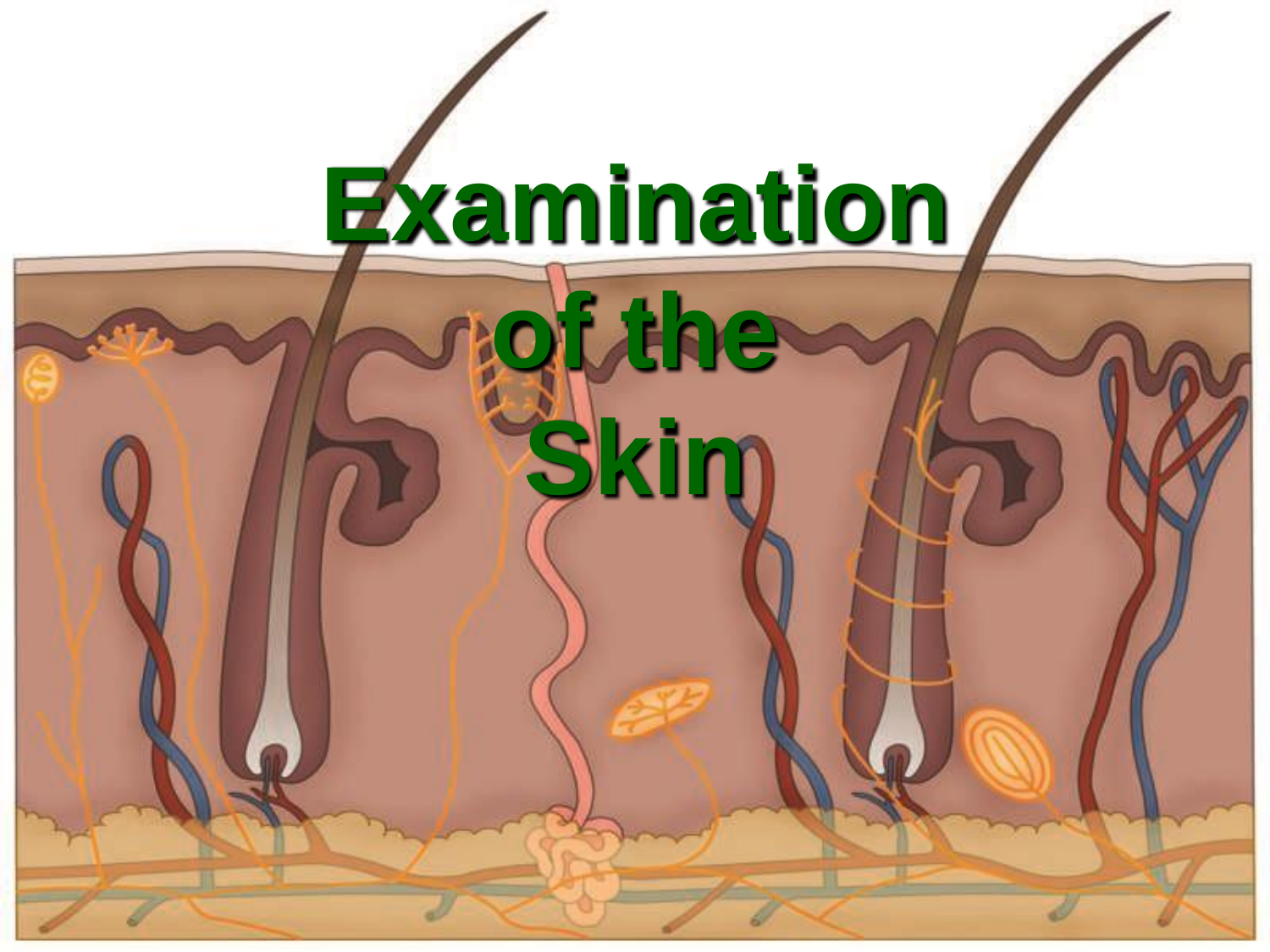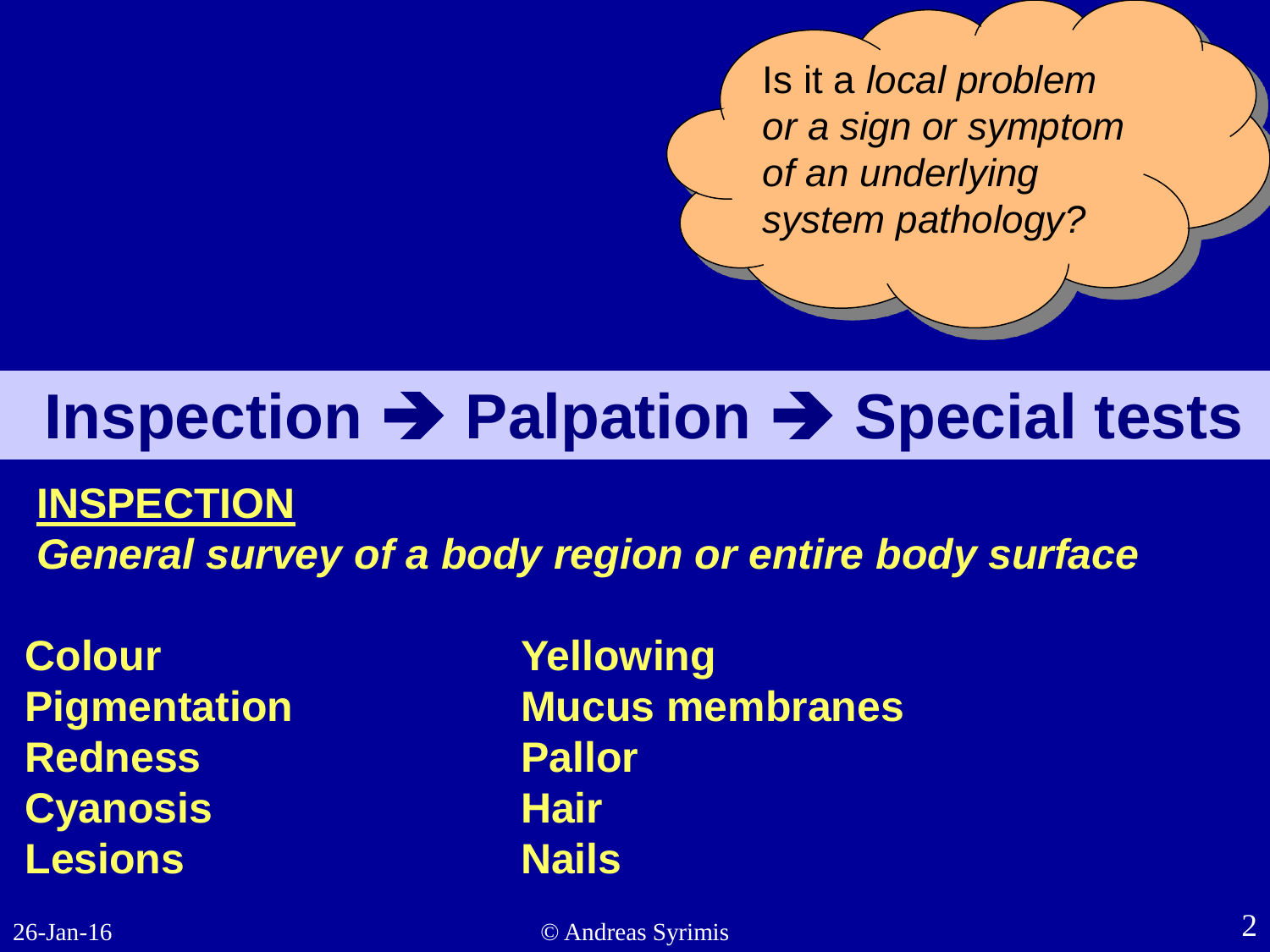Is it a *local problem or a sign or symptom of an underlying system pathology?*

# **Inspection → Palpation → Special tests**

#### **INSPECTION**

*General survey of a body region or entire body surface*

**Colour Yellowing Redness Pallor Cyanosis** Hair **Lesions Nails**

**Pigmentation Mucus membranes**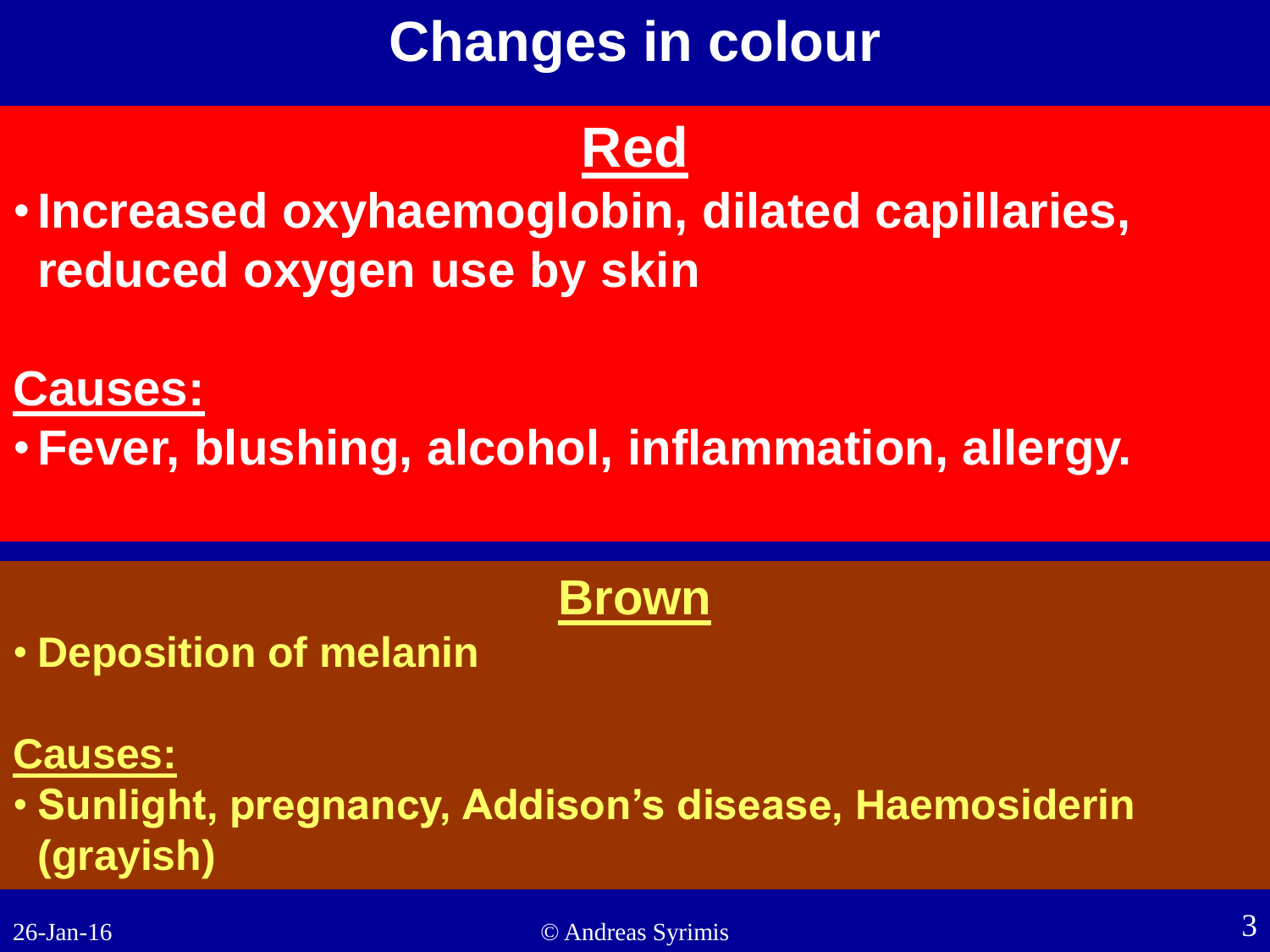# **Changes in colour**

## **Red**

•**Increased oxyhaemoglobin, dilated capillaries, reduced oxygen use by skin**

#### **Causes:**

•**Fever, blushing, alcohol, inflammation, allergy.**

## **Brown**

• **Deposition of melanin**

#### **Causes:**

• **Sunlight, pregnancy, Addison's disease, Haemosiderin (grayish)**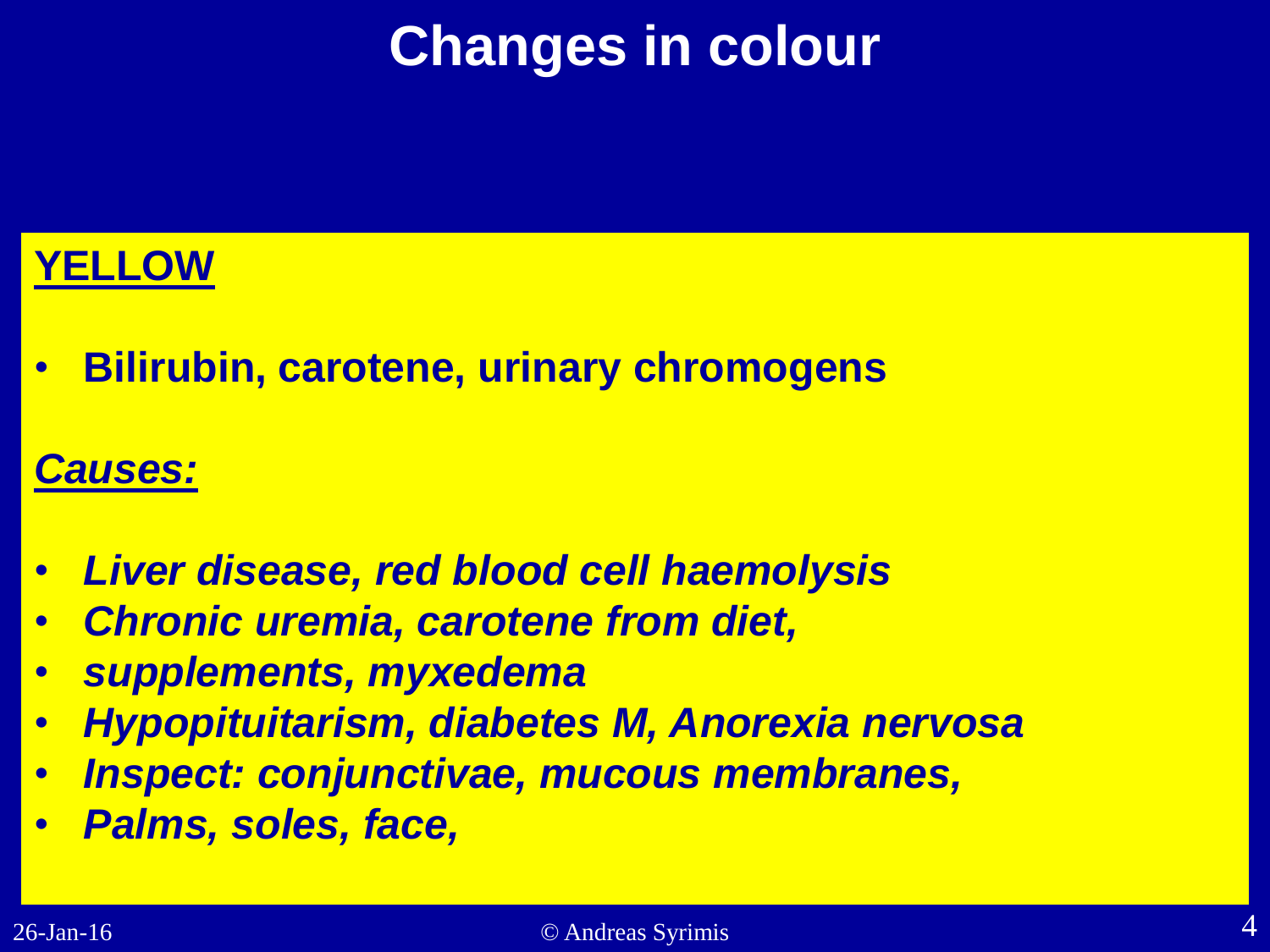# **Changes in colour**

#### **YELLOW**

• **Bilirubin, carotene, urinary chromogens**

#### *Causes:*

- *Liver disease, red blood cell haemolysis*
- *Chronic uremia, carotene from diet,*
- *supplements, myxedema*
- *Hypopituitarism, diabetes M, Anorexia nervosa*
- *Inspect: conjunctivae, mucous membranes,*
- *Palms, soles, face,*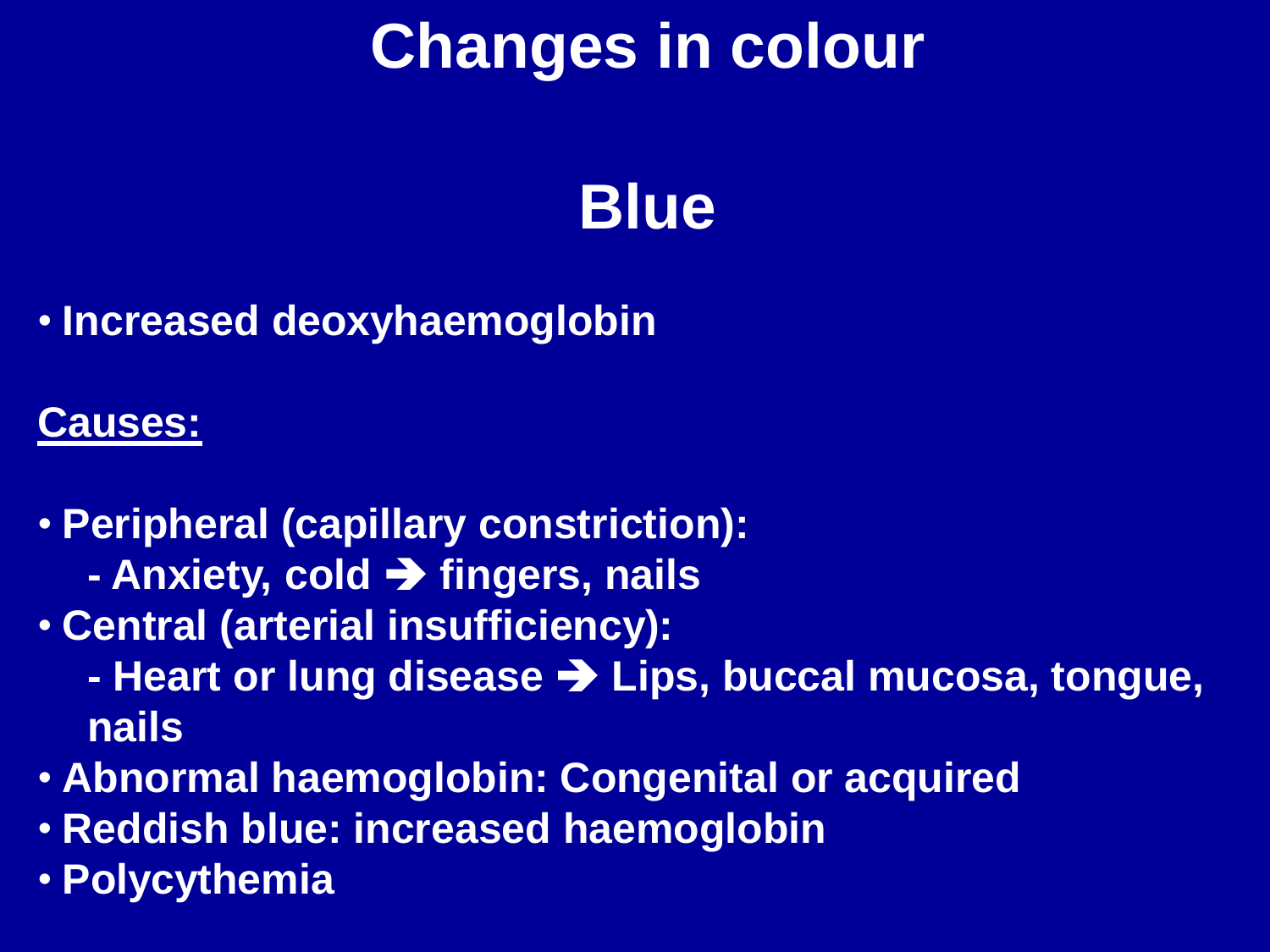# **Changes in colour**

# **Blue**

• **Increased deoxyhaemoglobin**

#### **Causes:**

- **Peripheral (capillary constriction):** 
	- **- Anxiety, cold fingers, nails**
- **Central (arterial insufficiency):** 
	- **-** Heart or lung disease  $\rightarrow$  Lips, buccal mucosa, tongue, **nails**
- **Abnormal haemoglobin: Congenital or acquired**
- **Reddish blue: increased haemoglobin**
- **Polycythemia**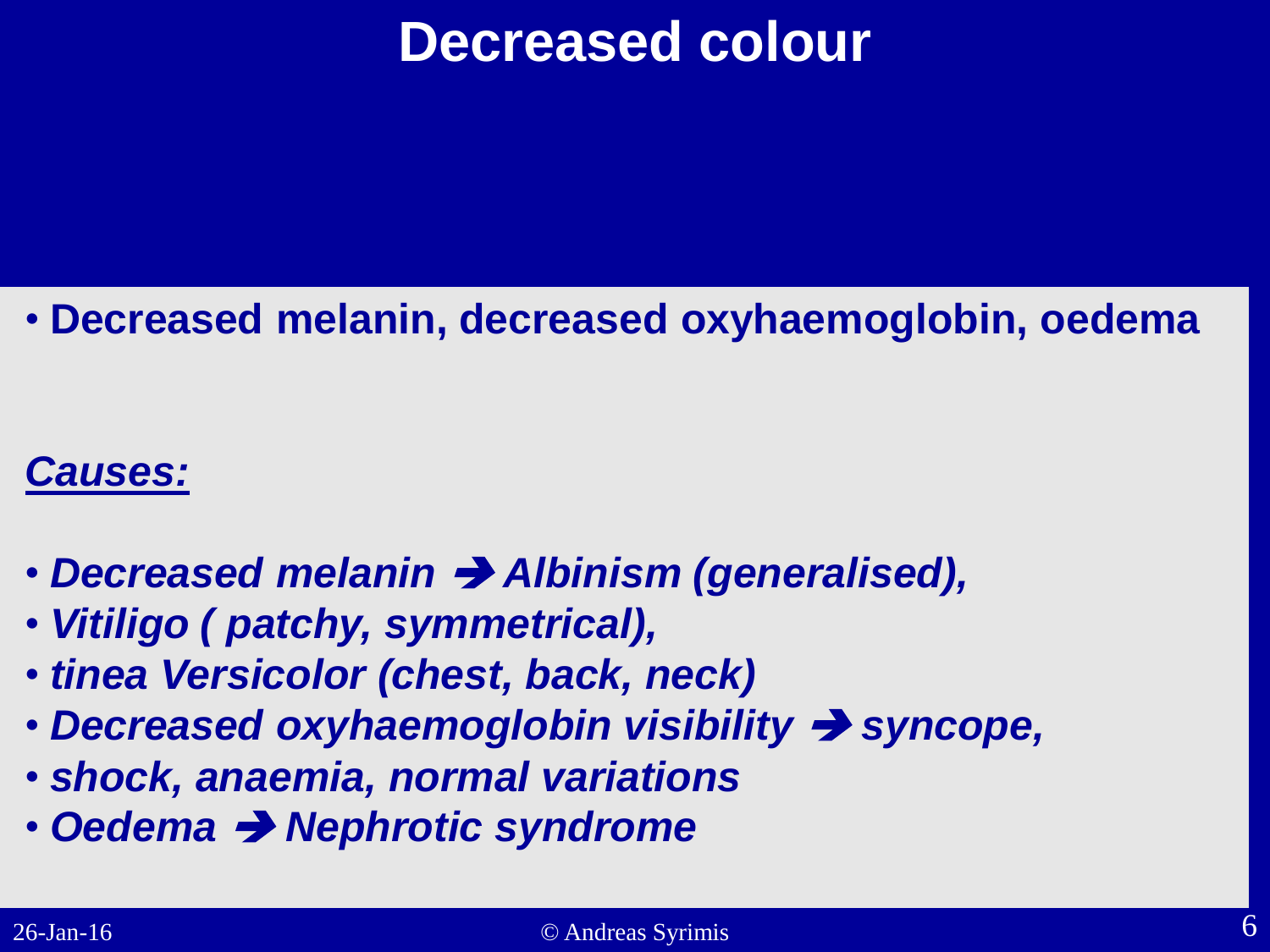## **Decreased colour**

#### • **Decreased melanin, decreased oxyhaemoglobin, oedema**

#### *Causes:*

- *Decreased melanin Albinism (generalised),*
- *Vitiligo ( patchy, symmetrical),*
- *tinea Versicolor (chest, back, neck)*
- *Decreased oxyhaemoglobin visibility syncope,*
- *shock, anaemia, normal variations*
- Oedema  $\rightarrow$  Nephrotic syndrome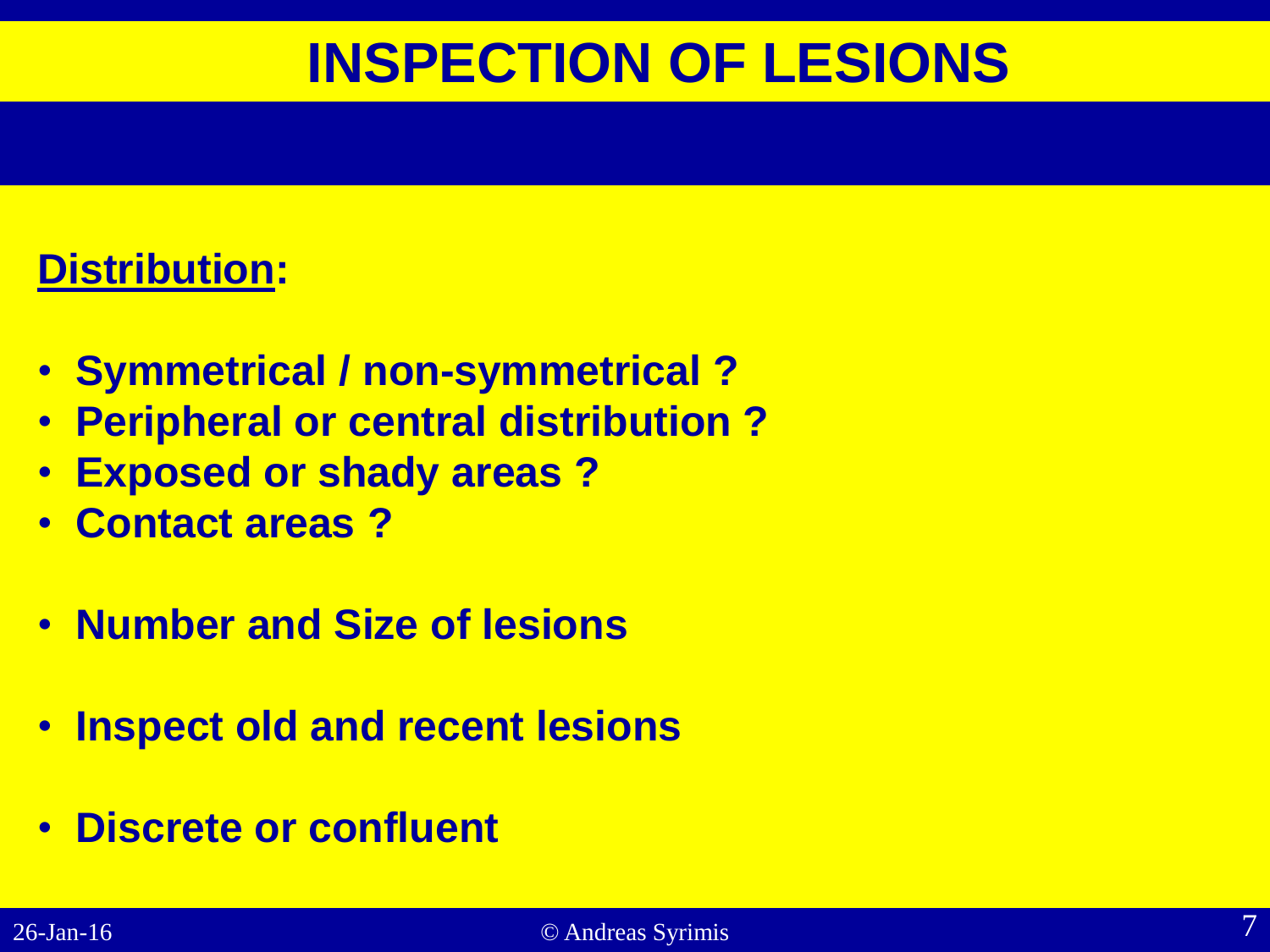## **INSPECTION OF LESIONS**

#### **Distribution:**

- **Symmetrical / non-symmetrical ?**
- **Peripheral or central distribution ?**
- **Exposed or shady areas ?**
- **Contact areas ?**
- **Number and Size of lesions**
- **Inspect old and recent lesions**
- **Discrete or confluent**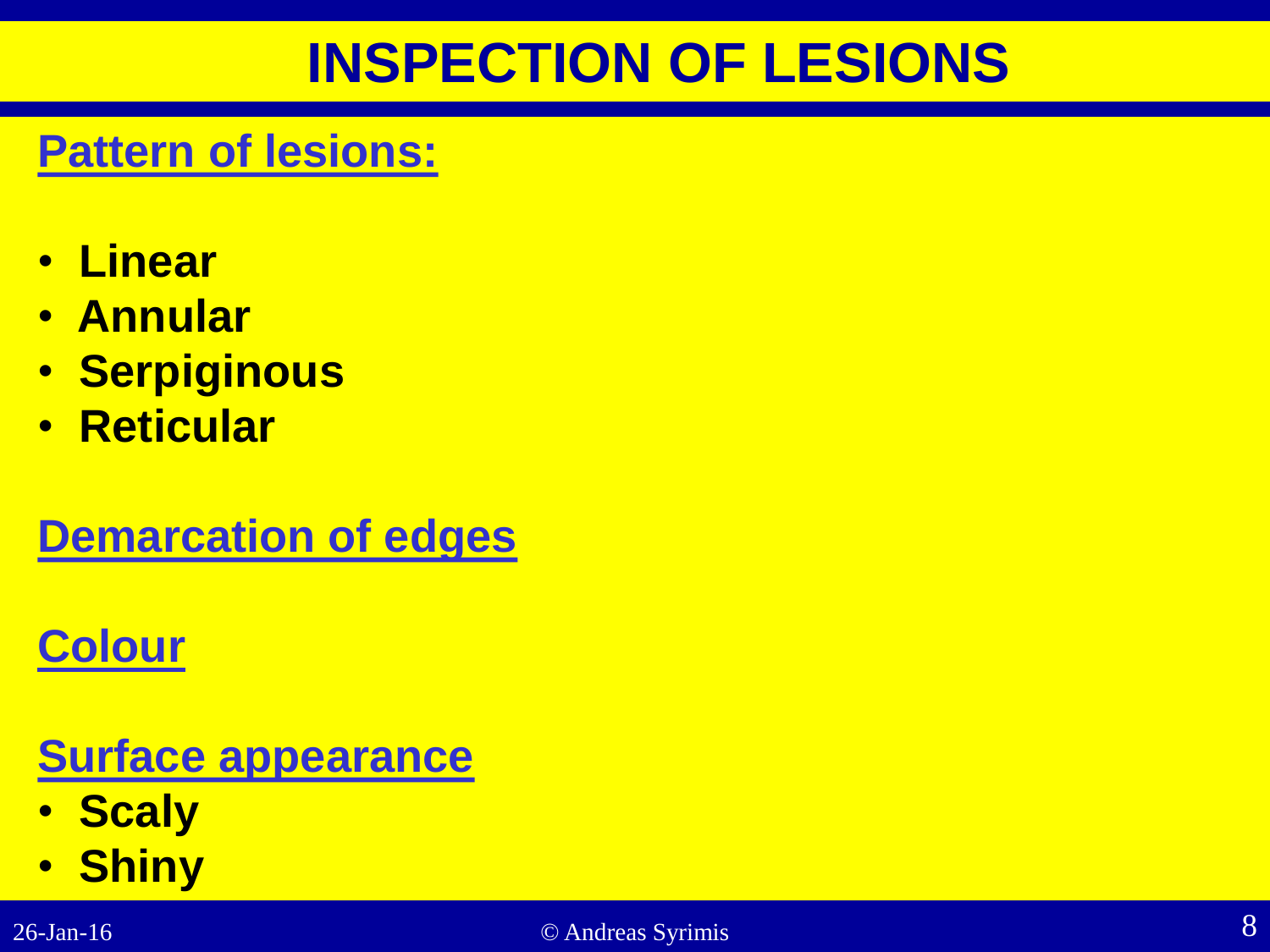## **INSPECTION OF LESIONS**

### **Pattern of lesions:**

- **Linear**
- **Annular**
- **Serpiginous**
- **Reticular**

### **Demarcation of edges**

## **Colour**

## **Surface appearance**

- **Scaly**
- **Shiny**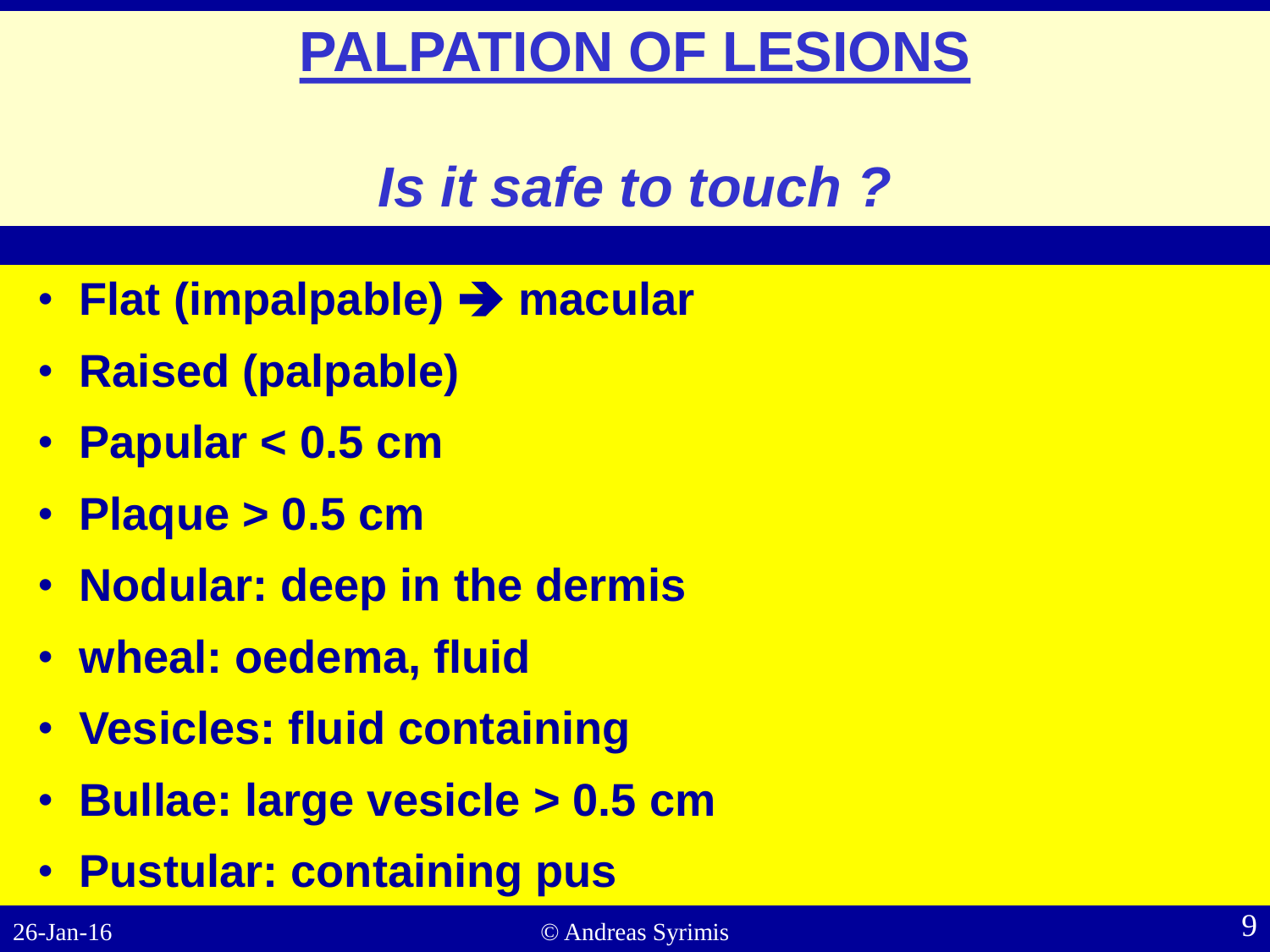# **PALPATION OF LESIONS**

# *Is it safe to touch ?*

- **Flat (impalpable) macular**
- **Raised (palpable)**
- **Papular < 0.5 cm**
- **Plaque > 0.5 cm**
- **Nodular: deep in the dermis**
- **wheal: oedema, fluid**
- **Vesicles: fluid containing**
- **Bullae: large vesicle > 0.5 cm**
- **Pustular: containing pus**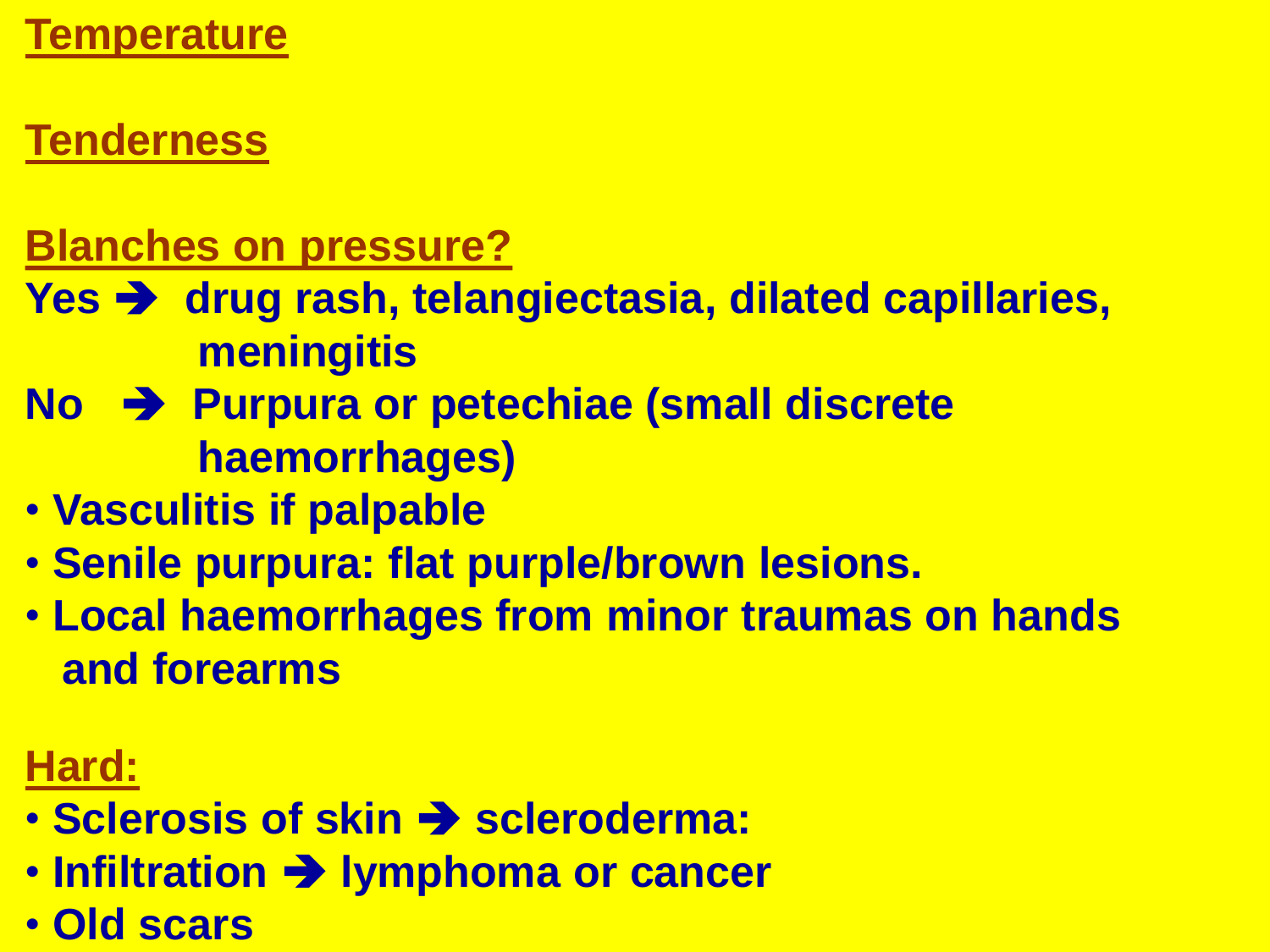### **Tenderness**

#### **Blanches on pressure?**

- **Yes**  $\rightarrow$  **drug rash, telangiectasia, dilated capillaries, meningitis**
- **No → Purpura or petechiae (small discrete haemorrhages)**
- **Vasculitis if palpable**
- **Senile purpura: flat purple/brown lesions.**
- **Local haemorrhages from minor traumas on hands and forearms**

### **Hard:**

- **Sclerosis of skin**  $\rightarrow$  **scleroderma:**
- **Infiltration**  $\rightarrow$  **lymphoma or cancer**
- 26-Jan-16 © Andreas Syrimis 10 **Old scars**